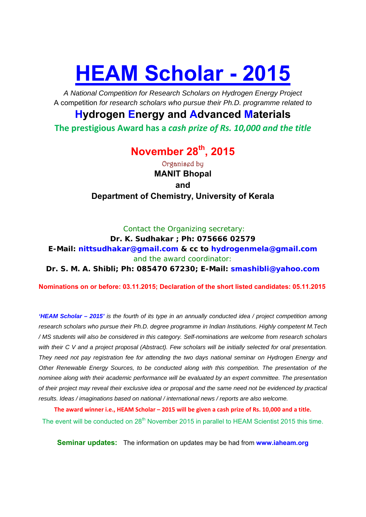# **HEAM Scholar - 2015**

*A National Competition for Research Scholars on Hydrogen Energy Project*  A competition *for research scholars who pursue their Ph.D. programme related to* 

### **Hydrogen Energy and Advanced Materials**

**The prestigious Award has a** *cash prize of Rs. 10,000 and the title*

## **November 28th, 2015**

Organised by **MANIT Bhopal and Department of Chemistry, University of Kerala** 

*Contact the Organizing secretary:*

**Dr. K. Sudhakar ; Ph: 075666 02579** 

**E-Mail: nittsudhakar@gmail.com & cc to hydrogenmela@gmail.com** *and the award coordinator:* 

**Dr. S. M. A. Shibli; Ph: 085470 67230; E-Mail: smashibli@yahoo.com**

**Nominations on or before: 03.11.2015; Declaration of the short listed candidates: 05.11.2015** 

*'HEAM Scholar – 2015' is the fourth of its type in an annually conducted idea / project competition among research scholars who pursue their Ph.D. degree programme in Indian Institutions. Highly competent M.Tech / MS students will also be considered in this category. Self-nominations are welcome from research scholars*  with their C V and a project proposal (Abstract). Few scholars will be initially selected for oral presentation. *They need not pay registration fee for attending the two days national seminar on Hydrogen Energy and Other Renewable Energy Sources, to be conducted along with this competition. The presentation of the nominee along with their academic performance will be evaluated by an expert committee. The presentation of their project may reveal their exclusive idea or proposal and the same need not be evidenced by practical results. Ideas / imaginations based on national / international news / reports are also welcome.* 

**The award winner i.e., HEAM Scholar – 2015 will be given a cash prize of Rs. 10,000 and a title.**  The event will be conducted on 28<sup>th</sup> November 2015 in parallel to HEAM Scientist 2015 this time.

**Seminar updates:** The information on updates may be had from **www.iaheam.org**